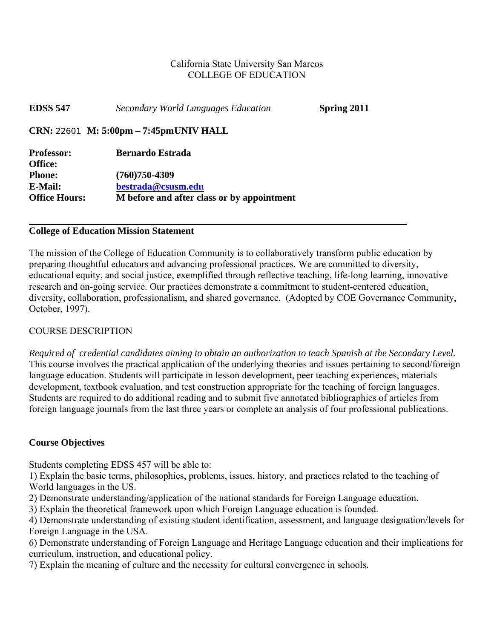#### California State University San Marcos COLLEGE OF EDUCATION

| <b>EDSS 547</b>              | Secondary World Languages Education        | Spring 2011 |
|------------------------------|--------------------------------------------|-------------|
|                              | CRN: 22601 M: 5:00pm - 7:45pmUNIV HALL     |             |
| <b>Professor:</b><br>Office: | <b>Bernardo Estrada</b>                    |             |
| <b>Phone:</b>                | $(760)750 - 4309$                          |             |
| E-Mail:                      | bestrada@csusm.edu                         |             |
| <b>Office Hours:</b>         | M before and after class or by appointment |             |

#### **College of Education Mission Statement**

The mission of the College of Education Community is to collaboratively transform public education by preparing thoughtful educators and advancing professional practices. We are committed to diversity, educational equity, and social justice, exemplified through reflective teaching, life-long learning, innovative research and on-going service. Our practices demonstrate a commitment to student-centered education, diversity, collaboration, professionalism, and shared governance. (Adopted by COE Governance Community, October, 1997).

#### COURSE DESCRIPTION

 *Required of credential candidates aiming to obtain an authorization to teach Spanish at the Secondary Level.* This course involves the practical application of the underlying theories and issues pertaining to second/foreign language education. Students will participate in lesson development, peer teaching experiences, materials development, textbook evaluation, and test construction appropriate for the teaching of foreign languages. Students are required to do additional reading and to submit five annotated bibliographies of articles from foreign language journals from the last three years or complete an analysis of four professional publications.

#### **Course Objectives**

Students completing EDSS 457 will be able to:

1) Explain the basic terms, philosophies, problems, issues, history, and practices related to the teaching of World languages in the US.

2) Demonstrate understanding/application of the national standards for Foreign Language education.

3) Explain the theoretical framework upon which Foreign Language education is founded.

4) Demonstrate understanding of existing student identification, assessment, and language designation/levels for Foreign Language in the USA.

6) Demonstrate understanding of Foreign Language and Heritage Language education and their implications for curriculum, instruction, and educational policy.

7) Explain the meaning of culture and the necessity for cultural convergence in schools.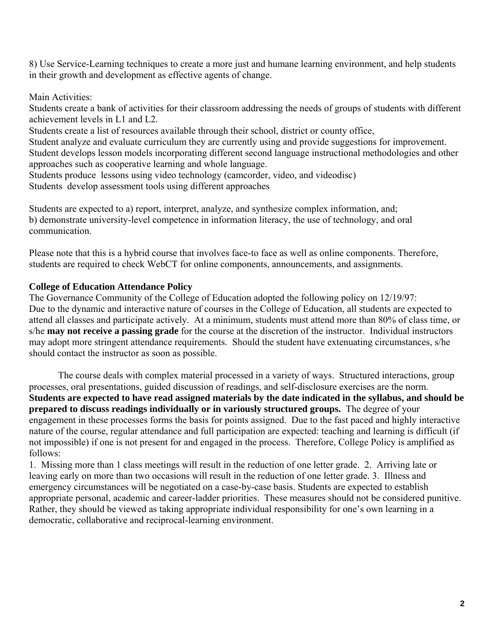8) Use Service-Learning techniques to create a more just and humane learning environment, and help students in their growth and development as effective agents of change.

Main Activities:

Students create a bank of activities for their classroom addressing the needs of groups of students with different achievement levels in L1 and L2.

Students create a list of resources available through their school, district or county office,

Student analyze and evaluate curriculum they are currently using and provide suggestions for improvement. Student develops lesson models incorporating different second language instructional methodologies and other approaches such as cooperative learning and whole language.

Students produce lessons using video technology (camcorder, video, and videodisc) Students develop assessment tools using different approaches

Students are expected to a) report, interpret, analyze, and synthesize complex information, and; b) demonstrate university-level competence in information literacy, the use of technology, and oral communication.

Please note that this is a hybrid course that involves face-to face as well as online components. Therefore, students are required to check WebCT for online components, announcements, and assignments.

#### **College of Education Attendance Policy**

The Governance Community of the College of Education adopted the following policy on 12/19/97: Due to the dynamic and interactive nature of courses in the College of Education, all students are expected to attend all classes and participate actively. At a minimum, students must attend more than 80% of class time, or s/he **may not receive a passing grade** for the course at the discretion of the instructor. Individual instructors may adopt more stringent attendance requirements. Should the student have extenuating circumstances, s/he should contact the instructor as soon as possible.

 processes, oral presentations, guided discussion of readings, and self-disclosure exercises are the norm. The course deals with complex material processed in a variety of ways. Structured interactions, group **Students are expected to have read assigned materials by the date indicated in the syllabus, and should be prepared to discuss readings individually or in variously structured groups.** The degree of your engagement in these processes forms the basis for points assigned. Due to the fast paced and highly interactive nature of the course, regular attendance and full participation are expected: teaching and learning is difficult (if not impossible) if one is not present for and engaged in the process. Therefore, College Policy is amplified as follows:

1. Missing more than 1 class meetings will result in the reduction of one letter grade. 2. Arriving late or leaving early on more than two occasions will result in the reduction of one letter grade. 3. Illness and emergency circumstances will be negotiated on a case-by-case basis. Students are expected to establish appropriate personal, academic and career-ladder priorities. These measures should not be considered punitive. Rather, they should be viewed as taking appropriate individual responsibility for one's own learning in a democratic, collaborative and reciprocal-learning environment.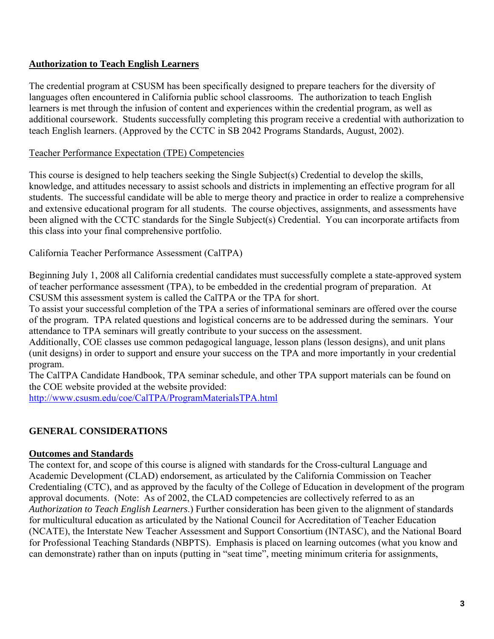#### **Authorization to Teach English Learners**

The credential program at CSUSM has been specifically designed to prepare teachers for the diversity of languages often encountered in California public school classrooms. The authorization to teach English learners is met through the infusion of content and experiences within the credential program, as well as additional coursework. Students successfully completing this program receive a credential with authorization to teach English learners. (Approved by the CCTC in SB 2042 Programs Standards, August, 2002).

#### Teacher Performance Expectation (TPE) Competencies

This course is designed to help teachers seeking the Single Subject(s) Credential to develop the skills, knowledge, and attitudes necessary to assist schools and districts in implementing an effective program for all students. The successful candidate will be able to merge theory and practice in order to realize a comprehensive and extensive educational program for all students. The course objectives, assignments, and assessments have been aligned with the CCTC standards for the Single Subject(s) Credential. You can incorporate artifacts from this class into your final comprehensive portfolio.

California Teacher Performance Assessment (CalTPA)

Beginning July 1, 2008 all California credential candidates must successfully complete a state-approved system of teacher performance assessment (TPA), to be embedded in the credential program of preparation. At CSUSM this assessment system is called the CalTPA or the TPA for short.

To assist your successful completion of the TPA a series of informational seminars are offered over the course of the program. TPA related questions and logistical concerns are to be addressed during the seminars. Your attendance to TPA seminars will greatly contribute to your success on the assessment.

Additionally, COE classes use common pedagogical language, lesson plans (lesson designs), and unit plans (unit designs) in order to support and ensure your success on the TPA and more importantly in your credential program.

The CalTPA Candidate Handbook, TPA seminar schedule, and other TPA support materials can be found on the COE website provided at the website provided:

http://www.csusm.edu/coe/CalTPA/ProgramMaterialsTPA.html

#### **GENERAL CONSIDERATIONS**

#### **Outcomes and Standards**

The context for, and scope of this course is aligned with standards for the Cross-cultural Language and Academic Development (CLAD) endorsement, as articulated by the California Commission on Teacher Credentialing (CTC), and as approved by the faculty of the College of Education in development of the program approval documents. (Note: As of 2002, the CLAD competencies are collectively referred to as an *Authorization to Teach English Learners*.) Further consideration has been given to the alignment of standards for multicultural education as articulated by the National Council for Accreditation of Teacher Education (NCATE), the Interstate New Teacher Assessment and Support Consortium (INTASC), and the National Board for Professional Teaching Standards (NBPTS). Emphasis is placed on learning outcomes (what you know and can demonstrate) rather than on inputs (putting in "seat time", meeting minimum criteria for assignments,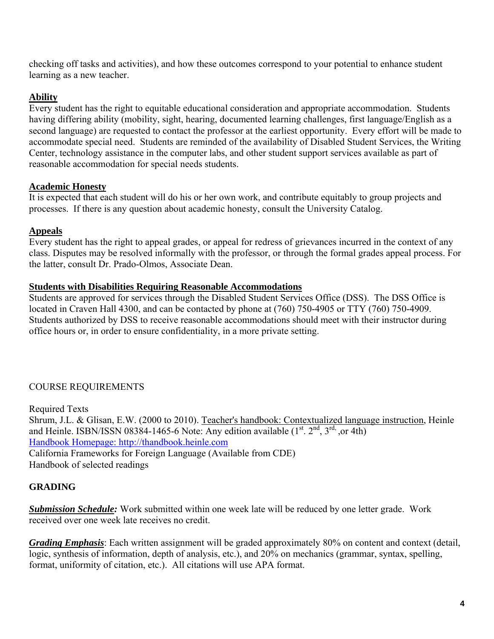checking off tasks and activities), and how these outcomes correspond to your potential to enhance student learning as a new teacher.

### **Ability**

Every student has the right to equitable educational consideration and appropriate accommodation. Students having differing ability (mobility, sight, hearing, documented learning challenges, first language/English as a second language) are requested to contact the professor at the earliest opportunity. Every effort will be made to accommodate special need. Students are reminded of the availability of Disabled Student Services, the Writing Center, technology assistance in the computer labs, and other student support services available as part of reasonable accommodation for special needs students.

#### **Academic Honesty**

It is expected that each student will do his or her own work, and contribute equitably to group projects and processes. If there is any question about academic honesty, consult the University Catalog.

#### **Appeals**

Every student has the right to appeal grades, or appeal for redress of grievances incurred in the context of any class. Disputes may be resolved informally with the professor, or through the formal grades appeal process. For the latter, consult Dr. Prado-Olmos, Associate Dean.

#### **Students with Disabilities Requiring Reasonable Accommodations**

Students are approved for services through the Disabled Student Services Office (DSS). The DSS Office is located in Craven Hall 4300, and can be contacted by phone at (760) 750-4905 or TTY (760) 750-4909. Students authorized by DSS to receive reasonable accommodations should meet with their instructor during office hours or, in order to ensure confidentiality, in a more private setting.

### COURSE REQUIREMENTS

Required Texts Shrum, J.L. & Glisan, E.W. (2000 to 2010). Teacher's handbook: Contextualized language instruction, Heinle and Heinle. ISBN/ISSN 08384-1465-6 Note: Any edition available  $(1<sup>st</sup>, 2<sup>nd</sup>, 3<sup>rd</sup>, or 4th)$ Handbook Homepage: http://thandbook.heinle.com California Frameworks for Foreign Language (Available from CDE) Handbook of selected readings

### **GRADING**

*Submission Schedule:* Work submitted within one week late will be reduced by one letter grade. Work received over one week late receives no credit.

*Grading Emphasis*: Each written assignment will be graded approximately 80% on content and context (detail, logic, synthesis of information, depth of analysis, etc.), and 20% on mechanics (grammar, syntax, spelling, format, uniformity of citation, etc.). All citations will use APA format.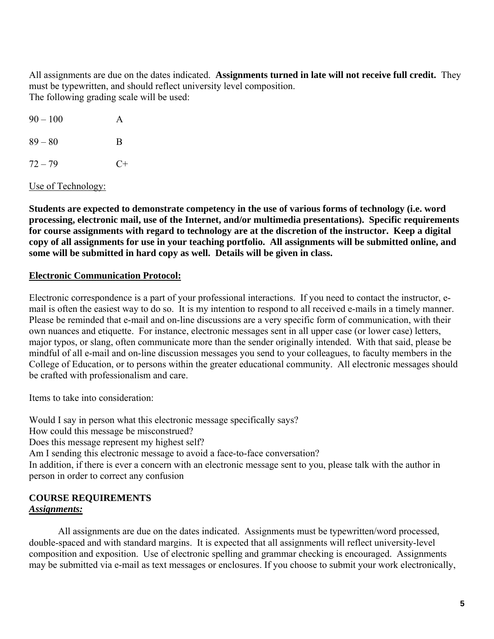All assignments are due on the dates indicated. **Assignments turned in late will not receive full credit.** They must be typewritten, and should reflect university level composition. The following grading scale will be used:

| $90 - 100$ | A    |
|------------|------|
| $89 - 80$  | B    |
| $72 - 79$  | $C+$ |

Use of Technology:

**Students are expected to demonstrate competency in the use of various forms of technology (i.e. word processing, electronic mail, use of the Internet, and/or multimedia presentations). Specific requirements for course assignments with regard to technology are at the discretion of the instructor. Keep a digital copy of all assignments for use in your teaching portfolio. All assignments will be submitted online, and some will be submitted in hard copy as well. Details will be given in class.** 

#### **Electronic Communication Protocol:**

Electronic correspondence is a part of your professional interactions. If you need to contact the instructor, email is often the easiest way to do so. It is my intention to respond to all received e-mails in a timely manner. Please be reminded that e-mail and on-line discussions are a very specific form of communication, with their own nuances and etiquette. For instance, electronic messages sent in all upper case (or lower case) letters, major typos, or slang, often communicate more than the sender originally intended. With that said, please be mindful of all e-mail and on-line discussion messages you send to your colleagues, to faculty members in the College of Education, or to persons within the greater educational community. All electronic messages should be crafted with professionalism and care.

Items to take into consideration:

Would I say in person what this electronic message specifically says? How could this message be misconstrued? Does this message represent my highest self? Am I sending this electronic message to avoid a face-to-face conversation? In addition, if there is ever a concern with an electronic message sent to you, please talk with the author in person in order to correct any confusion

#### **COURSE REQUIREMENTS**  *Assignments:*

All assignments are due on the dates indicated. Assignments must be typewritten/word processed, double-spaced and with standard margins. It is expected that all assignments will reflect university-level composition and exposition. Use of electronic spelling and grammar checking is encouraged. Assignments may be submitted via e-mail as text messages or enclosures. If you choose to submit your work electronically,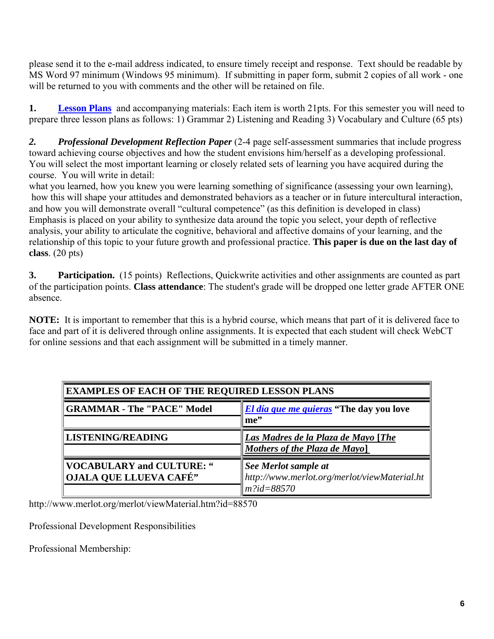please send it to the e-mail address indicated, to ensure timely receipt and response. Text should be readable by MS Word 97 minimum (Windows 95 minimum). If submitting in paper form, submit 2 copies of all work - one will be returned to you with comments and the other will be retained on file.

**1.** Lesson Plans and accompanying materials: Each item is worth 21pts. For this semester you will need to prepare three lesson plans as follows: 1) Grammar 2) Listening and Reading 3) Vocabulary and Culture (65 pts)

*2. Professional Development Reflection Paper* (2-4 page self-assessment summaries that include progress toward achieving course objectives and how the student envisions him/herself as a developing professional. You will select the most important learning or closely related sets of learning you have acquired during the course. You will write in detail:

what you learned, how you knew you were learning something of significance (assessing your own learning), how this will shape your attitudes and demonstrated behaviors as a teacher or in future intercultural interaction, and how you will demonstrate overall "cultural competence" (as this definition is developed in class) Emphasis is placed on your ability to synthesize data around the topic you select, your depth of reflective analysis, your ability to articulate the cognitive, behavioral and affective domains of your learning, and the relationship of this topic to your future growth and professional practice. **This paper is due on the last day of class**. (20 pts)

**3.** Participation. (15 points) Reflections, Quickwrite activities and other assignments are counted as part of the participation points. **Class attendance**: The student's grade will be dropped one letter grade AFTER ONE absence.

**NOTE:** It is important to remember that this is a hybrid course, which means that part of it is delivered face to face and part of it is delivered through online assignments. It is expected that each student will check WebCT for online sessions and that each assignment will be submitted in a timely manner.

| <b>EXAMPLES OF EACH OF THE REQUIRED LESSON PLANS</b>    |                                                                                       |  |  |
|---------------------------------------------------------|---------------------------------------------------------------------------------------|--|--|
| GRAMMAR - The "PACE" Model                              | <i>El día que me quieras</i> "The day you love"<br>me"                                |  |  |
| LISTENING/READING                                       | Las Madres de la Plaza de Mayo [The<br>Mothers of the Plaza de Mayo]                  |  |  |
| VOCABULARY and CULTURE: "<br>   OJALA QUE LLUEVA CAFÉ'' | See Merlot sample at<br>http://www.merlot.org/merlot/viewMaterial.ht<br>$m$ ?id=88570 |  |  |

http://www.merlot.org/merlot/viewMaterial.htm?id=88570

Professional Development Responsibilities

Professional Membership: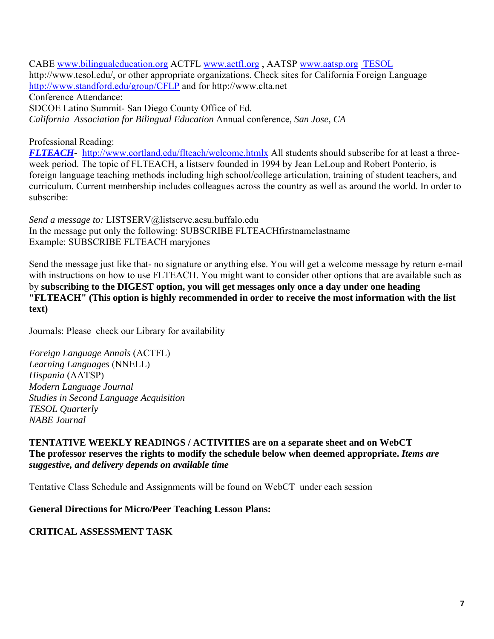CABE www.bilingualeducation.org ACTFL www.actfl.org , AATSP www.aatsp.org TESOL http://www.tesol.edu/, or other appropriate organizations. Check sites for California Foreign Language http://www.standford.edu/group/CFLP and for http://www.clta.net Conference Attendance: SDCOE Latino Summit- San Diego County Office of Ed. *California Association for Bilingual Education* Annual conference*, San Jose, CA* 

#### Professional Reading:

 *FLTEACH-* http://www.cortland.edu/flteach/welcome.htmlx All students should subscribe for at least a threeweek period. The topic of FLTEACH, a listserv founded in 1994 by Jean LeLoup and Robert Ponterio, is foreign language teaching methods including high school/college articulation, training of student teachers, and curriculum. Current membership includes colleagues across the country as well as around the world. In order to subscribe:

*Send a message to:* LISTSERV@listserve.acsu.buffalo.edu In the message put only the following: SUBSCRIBE FLTEACHfirstnamelastname Example: SUBSCRIBE FLTEACH maryjones

Send the message just like that- no signature or anything else. You will get a welcome message by return e-mail with instructions on how to use FLTEACH. You might want to consider other options that are available such as by **subscribing to the DIGEST option, you will get messages only once a day under one heading "FLTEACH" (This option is highly recommended in order to receive the most information with the list text)** 

Journals: Please check our Library for availability

Modern Language Journal **TESOL Quarterly** *Foreign Language Annals* (ACTFL) *Learning Languages* (NNELL) *Hispania* (AATSP) *Modern Language Journal<br>Studies in Second Language Acquisition<br>TESOL Quarterly<br>NABE Journal* 

#### *suggestive, and delivery depends on available time* **TENTATIVE WEEKLY READINGS / ACTIVITIES are on a separate sheet and on WebCT The professor reserves the rights to modify the schedule below when deemed appropriate.** *Items are*

Tentative Class Schedule and Assignments will be found on WebCT under each session

#### **General Directions for Micro/Peer Teaching Lesson Plans:**

#### **CRITICAL ASSESSMENT TASK**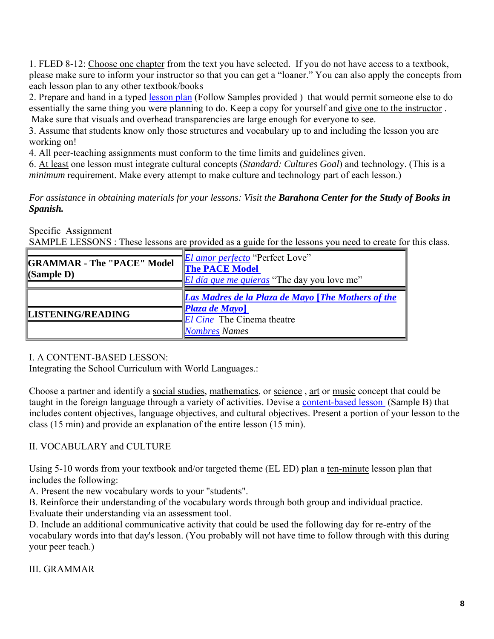1. FLED 8-12: Choose one chapter from the text you have selected. If you do not have access to a textbook, please make sure to inform your instructor so that you can get a "loaner." You can also apply the concepts from each lesson plan to any other textbook/books

2. Prepare and hand in a typed lesson plan (Follow Samples provided ) that would permit someone else to do essentially the same thing you were planning to do. Keep a copy for yourself and give one to the instructor . Make sure that visuals and overhead transparencies are large enough for everyone to see.

3. Assume that students know only those structures and vocabulary up to and including the lesson you are working on!

4. All peer-teaching assignments must conform to the time limits and guidelines given.

6. At least one lesson must integrate cultural concepts (*Standard: Cultures Goal*) and technology. (This is a *minimum* requirement. Make every attempt to make culture and technology part of each lesson.)

*For assistance in obtaining materials for your lessons: Visit the Barahona Center for the Study of Books in Spanish.* 

Specific Assignment

SAMPLE LESSONS : These lessons are provided as a guide for the lessons you need to create for this class.

| <b>GRAMMAR - The "PACE" Model</b><br>$\langle$ Sample D) | <i>El amor perfecto</i> "Perfect Love"<br><b>The PACE Model</b><br><i>El día que me quieras</i> "The day you love me" |
|----------------------------------------------------------|-----------------------------------------------------------------------------------------------------------------------|
|                                                          | Las Madres de la Plaza de Mayo [The Mothers of the                                                                    |
| LISTENING/READING                                        | <b>Plaza de Mayo</b> ]<br><i>El Cine</i> The Cinema theatre                                                           |
|                                                          | Nombres Names                                                                                                         |

#### I. A CONTENT-BASED LESSON:

Integrating the School Curriculum with World Languages.:

Choose a partner and identify a social studies, mathematics, or science , art or music concept that could be taught in the foreign language through a variety of activities. Devise a content-based lesson (Sample B) that includes content objectives, language objectives, and cultural objectives. Present a portion of your lesson to the class (15 min) and provide an explanation of the entire lesson (15 min).

### II. VOCABULARY and CULTURE

Using 5-10 words from your textbook and/or targeted theme (EL ED) plan a ten-minute lesson plan that includes the following:

A. Present the new vocabulary words to your "students".

B. Reinforce their understanding of the vocabulary words through both group and individual practice. Evaluate their understanding via an assessment tool.

D. Include an additional communicative activity that could be used the following day for re-entry of the vocabulary words into that day's lesson. (You probably will not have time to follow through with this during your peer teach.)

#### III. GRAMMAR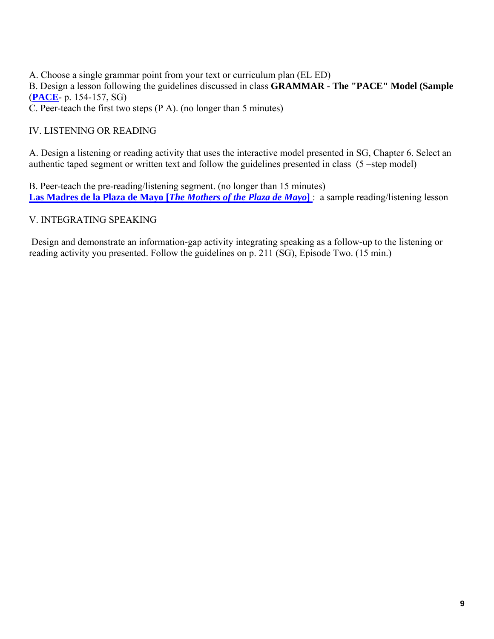A. Choose a single grammar point from your text or curriculum plan (EL ED) B. Design a lesson following the guidelines discussed in class **GRAMMAR - The "PACE" Model (Sample**  (**PACE**- p. 154-157, SG) C. Peer-teach the first two steps (P A). (no longer than 5 minutes)

#### IV. LISTENING OR READING

A. Design a listening or reading activity that uses the interactive model presented in SG, Chapter 6. Select an authentic taped segment or written text and follow the guidelines presented in class (5 –step model)

B. Peer-teach the pre-reading/listening segment. (no longer than 15 minutes) **Las Madres de la Plaza de Mayo [***The Mothers of the Plaza de Mayo***]** : a sample reading/listening lesson

#### V. INTEGRATING SPEAKING

 Design and demonstrate an information-gap activity integrating speaking as a follow-up to the listening or reading activity you presented. Follow the guidelines on p. 211 (SG), Episode Two. (15 min.)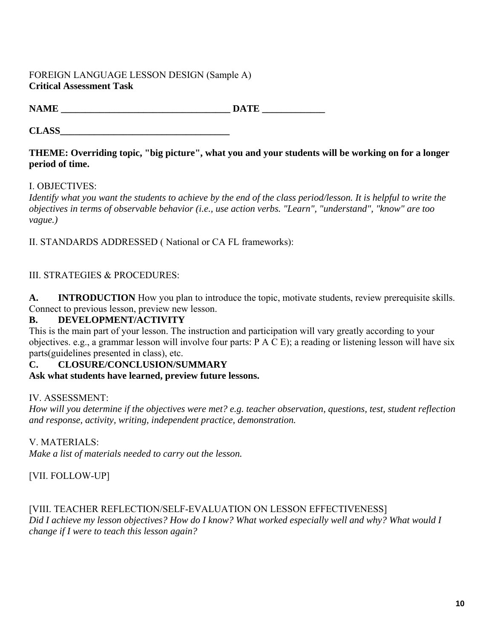#### FOREIGN LANGUAGE LESSON DESIGN (Sample A) **Critical Assessment Task**

**CLASS** 

#### **period of time.** THEME: Overriding topic, "big picture", what you and your students will be working on for a longer

#### I. OBJECTIVES:

 *vague.) Identify what you want the students to achieve by the end of the class period/lesson. It is helpful to write the objectives in terms of observable behavior (i.e., use action verbs. "Learn", "understand", "know" are too* 

II. STANDARDS ADDRESSED ( National or CA FL frameworks):

#### III. STRATEGIES & PROCEDURES:

**A. INTRODUCTION** How you plan to introduce the topic, motivate students, review prerequisite skills. Connect to previous lesson, preview new lesson.

#### **B. DEVELOPMENT/ACTIVITY**

This is the main part of your lesson. The instruction and participation will vary greatly according to your objectives. e.g., a grammar lesson will involve four parts: P A C E); a reading or listening lesson will have six parts(guidelines presented in class), etc.

#### **C. CLOSURE/CONCLUSION/SUMMARY**

**Ask what students have learned, preview future lessons.**

#### IV. ASSESSMENT:

 *and response, activity, writing, independent practice, demonstration. How will you determine if the objectives were met? e.g. teacher observation, questions, test, student reflection* 

#### V. MATERIALS:

*Make a list of materials needed to carry out the lesson.* 

[VII. FOLLOW-UP]

 *change if I were to teach this lesson again?* [VIII. TEACHER REFLECTION/SELF-EVALUATION ON LESSON EFFECTIVENESS] *Did I achieve my lesson objectives? How do I know? What worked especially well and why? What would I*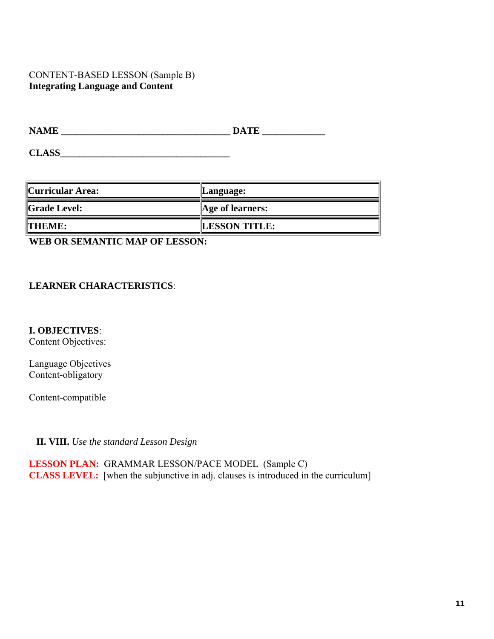#### CONTENT-BASED LESSON (Sample B) **Integrating Language and Content**

| <b>NAME</b>         | <b>DATE</b>      |
|---------------------|------------------|
| <b>CLASS</b>        |                  |
|                     |                  |
|                     |                  |
| Curricular Area:    | Language:        |
| <b>Grade Level:</b> | Age of learners: |

WEB OR SEMANTIC MAP OF LESSON:

#### **LEARNER CHARACTERISTICS:**

**I. OBJECTIVES**:

Content Objectives:

Language Objectives Content-obligatory

Content-compatible

**II. VIII.** *Use the standard Lesson Design* 

 **LESSON PLAN:** GRAMMAR LESSON/PACE MODEL (Sample C) **CLASS LEVEL:** [when the subjunctive in adj. clauses is introduced in the curriculum]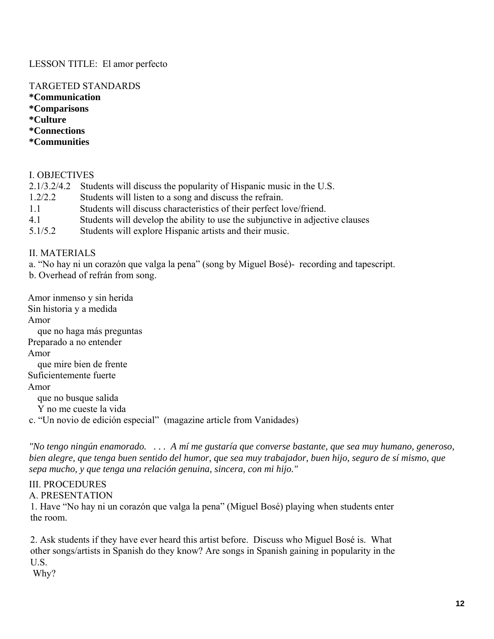#### LESSON TITLE: El amor perfecto

#### TARGETED STANDARDS

**\*Communication \*Comparisons \*Culture \*Connections \*Communities** 

*\*Comparisons* 

\*Culture

\*Connections

#### I. OBJECTIVES

- 2.1/3.2/4.2 Students will discuss the popularity of Hispanic music in the U.S.
- 1.2/2.2 Students will listen to a song and discuss the refrain.
- 1.1 Students will discuss characteristics of their perfect love/friend.
- 4.1 Students will develop the ability to use the subjunctive in adjective clauses
- 5.1/5.2 Students will explore Hispanic artists and their music.

#### II. MATERIALS

a. "No hay ni un corazón que valga la pena" (song by Miguel Bosé)- recording and tapescript.

b. Overhead of refrán from song.

Amor inmenso y sin herida Sin historia y a medida Amor que no haga más preguntas Preparado a no entender Amor que mire bien de frente Suficientemente fuerte Amor que no busque salida Y no me cueste la vida c. "Un novio de edición especial" (magazine article from Vanidades)

*"No tengo ningún enamorado. . . . A mí me gustaría que converse bastante, que sea muy humano, generoso, bien alegre, que tenga buen sentido del humor, que sea muy trabajador, buen hijo, seguro de sí mismo, que sepa mucho, y que tenga una relación genuina, sincera, con mi hijo."* 

#### III. PROCEDURES

A. PRESENTATION

1. Have "No hay ni un corazón que valga la pena" (Miguel Bosé) playing when students enter the room.

2. Ask students if they have ever heard this artist before. Discuss who Miguel Bosé is. What other songs/artists in Spanish do they know? Are songs in Spanish gaining in popularity in the U.S.

Why?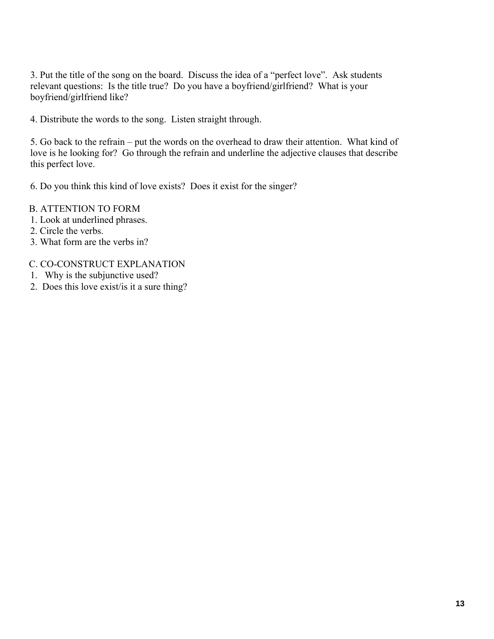boyfriend/girlfriend like? 3. Put the title of the song on the board. Discuss the idea of a "perfect love". Ask students relevant questions: Is the title true? Do you have a boyfriend/girlfriend? What is your

4. Distribute the words to the song. Listen straight through.

5. Go back to the refrain – put the words on the overhead to draw their attention. What kind of love is he looking for? Go through the refrain and underline the adjective clauses that describe this perfect love.

6. Do you think this kind of love exists? Does it exist for the singer?

#### B. ATTENTION TO FORM

- 1. Look at underlined phrases.
- 2. Circle the verbs.
- 3. What form are the verbs in?

#### C. CO-CONSTRUCT EXPLANATION

- 1. Why is the subjunctive used?
- 2. Does this love exist/is it a sure thing?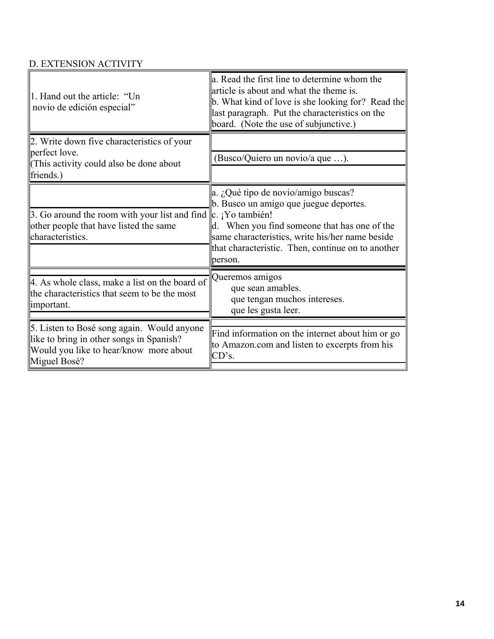# D. EXTENSION ACTIVITY

| 1. Hand out the article: "Un<br>novio de edición especial"                                                     | a. Read the first line to determine whom the<br>article is about and what the theme is.<br>b. What kind of love is she looking for? Read the<br>last paragraph. Put the characteristics on the<br>board. (Note the use of subjunctive.) |
|----------------------------------------------------------------------------------------------------------------|-----------------------------------------------------------------------------------------------------------------------------------------------------------------------------------------------------------------------------------------|
| 2. Write down five characteristics of your<br>perfect love.                                                    |                                                                                                                                                                                                                                         |
| (This activity could also be done about                                                                        | (Busco/Quiero un novio/a que ).                                                                                                                                                                                                         |
| friends.)                                                                                                      |                                                                                                                                                                                                                                         |
|                                                                                                                | a. ¿Qué tipo de novio/amigo buscas?<br>b. Busco un amigo que juegue deportes.                                                                                                                                                           |
| 3. Go around the room with your list and find $\ c\ $ . ¡Yo también!<br>other people that have listed the same | d. When you find someone that has one of the                                                                                                                                                                                            |
| characteristics.                                                                                               | same characteristics, write his/her name beside                                                                                                                                                                                         |
|                                                                                                                | that characteristic. Then, continue on to another<br>person.                                                                                                                                                                            |
| 4. As whole class, make a list on the board of                                                                 | Queremos amigos                                                                                                                                                                                                                         |
| the characteristics that seem to be the most                                                                   | que sean amables.<br>que tengan muchos intereses.                                                                                                                                                                                       |
| important.                                                                                                     | que les gusta leer.                                                                                                                                                                                                                     |
| 5. Listen to Bosé song again. Would anyone                                                                     |                                                                                                                                                                                                                                         |
| like to bring in other songs in Spanish?<br>Would you like to hear/know more about<br>Miguel Bosé?             | Find information on the internet about him or go<br>to Amazon.com and listen to excerpts from his<br>CD's.                                                                                                                              |
|                                                                                                                |                                                                                                                                                                                                                                         |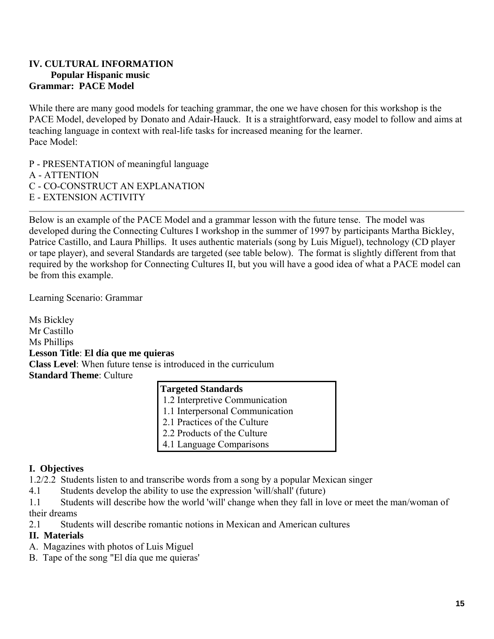## **Popular Hispanic music Grammar: PACE Model IV. CULTURAL INFORMATION**

While there are many good models for teaching grammar, the one we have chosen for this workshop is the PACE Model, developed by Donato and Adair-Hauck. It is a straightforward, easy model to follow and aims at teaching language in context with real-life tasks for increased meaning for the learner. Pace Model:

P - PRESENTATION of meaningful language

A - ATTENTION

C - CO-CONSTRUCT AN EXPLANATION

E - EXTENSION ACTIVITY

Below is an example of the PACE Model and a grammar lesson with the future tense. The model was developed during the Connecting Cultures I workshop in the summer of 1997 by participants Martha Bickley, Patrice Castillo, and Laura Phillips. It uses authentic materials (song by Luis Miguel), technology (CD player or tape player), and several Standards are targeted (see table below). The format is slightly different from that required by the workshop for Connecting Cultures II, but you will have a good idea of what a PACE model can be from this example.

Learning Scenario: Grammar

 **Class Level**: When future tense is introduced in the curriculum Ms Bickley Mr Castillo Ms Phillips **Lesson Title**: **El día que me quieras Standard Theme**: Culture

#### **Targeted Standards**

1.2 Interpretive Communication

- 1.1 Interpersonal Communication
- 2.1 Practices of the Culture
- 2.2 Products of the Culture
- 4.1 Language Comparisons

#### **I. Objectives**

1.2/2.2 Students listen to and transcribe words from a song by a popular Mexican singer

4.1 Students develop the ability to use the expression 'will/shall' (future)

1.1 Students will describe how the world 'will' change when they fall in love or meet the man/woman of their dreams

2.1 Students will describe romantic notions in Mexican and American cultures

#### **II. Materials**

- A. Magazines with photos of Luis Miguel
- B. Tape of the song "El día que me quieras'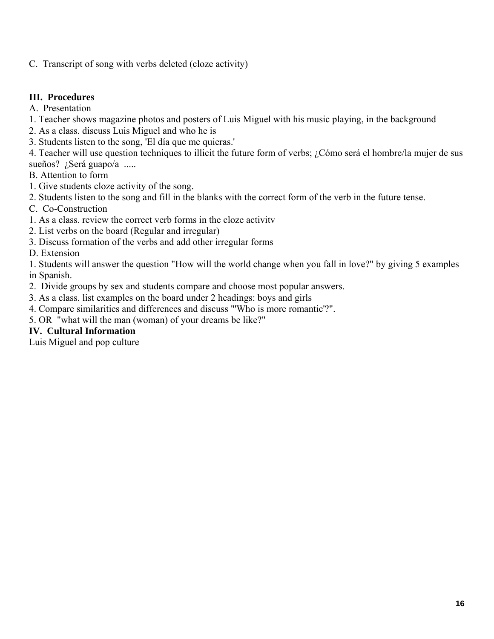C. Transcript of song with verbs deleted (cloze activity)

#### **III. Procedures**

A. Presentation

- 1. Teacher shows magazine photos and posters of Luis Miguel with his music playing, in the background
- 2. As a class. discuss Luis Miguel and who he is
- 3. Students listen to the song, 'El día que me quieras.'
- 4. Teacher will use question techniques to illicit the future form of verbs; ¿Cómo será el hombre/la mujer de sus sueños? ¿Será guapo/a .....
- B. Attention to form
- 1. Give students cloze activity of the song.
- 2. Students listen to the song and fill in the blanks with the correct form of the verb in the future tense.
- C. Co-Construction
- 1. As a class. review the correct verb forms in the cloze activitv
- 2. List verbs on the board (Regular and irregular)
- 3. Discuss formation of the verbs and add other irregular forms

#### D. Extension

1. Students will answer the question "How will the world change when you fall in love?" by giving 5 examples in Spanish.

- 2. Divide groups by sex and students compare and choose most popular answers.
- 3. As a class. list examples on the board under 2 headings: boys and girls
- 4. Compare similarities and differences and discuss "'Who is more romantic'?".
- 5. OR "what will the man (woman) of your dreams be like?"

#### **IV. Cultural Information**

Luis Miguel and pop culture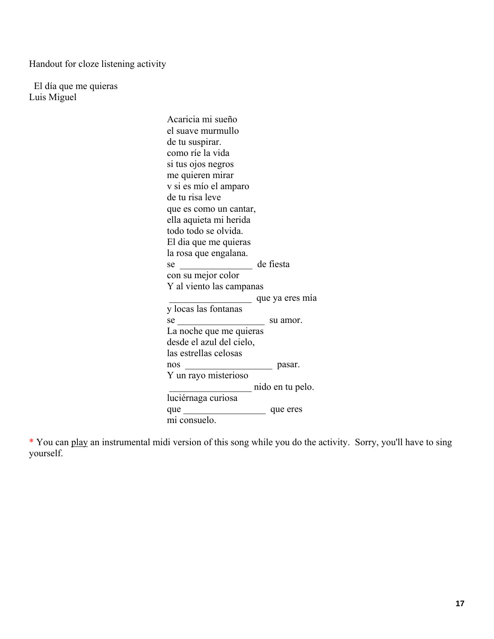Handout for cloze listening activity

 El día que me quieras Luis Miguel

> Acaricia mi sueño el suave murmullo de tu suspirar. como ríe la vida si tus ojos negros me quieren mirar v si es mío el amparo de tu risa leve que es como un cantar, ella aquieta mi herida todo todo se olvida. El dia que me quieras la rosa que engalana. se de fiesta con su mejor color Y al viento las campanas \_\_\_\_\_\_\_\_\_\_\_\_\_\_\_\_\_ que ya eres mía y locas las fontanas se su amor. La noche que me quieras desde el azul del cielo, las estrellas celosas nos pasar. Y un rayo misterioso \_\_\_\_\_\_\_\_\_\_\_\_\_\_\_\_\_ nido en tu pelo. luciérnaga curiosa que \_\_\_\_\_\_\_\_\_\_\_\_\_\_\_\_\_ que eres mi consuelo.

\* You can play an instrumental midi version of this song while you do the activity. Sorry, you'll have to sing yourself.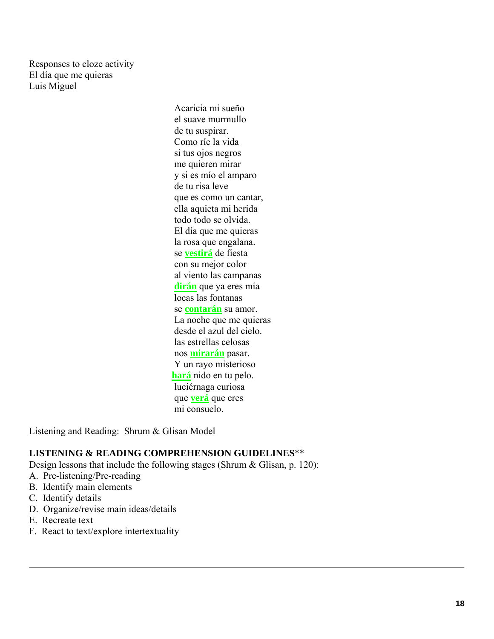Responses to cloze activity El día que me quieras Luis Miguel

> se **vestirá** de fiesta Acaricia mi sueño el suave murmullo de tu suspirar. Como ríe la vida si tus ojos negros me quieren mirar y si es mío el amparo de tu risa leve que es como un cantar, ella aquieta mi herida todo todo se olvida. El día que me quieras la rosa que engalana. con su mejor color al viento las campanas **dirán** que ya eres mía locas las fontanas se **contarán** su amor. La noche que me quieras desde el azul del cielo. las estrellas celosas nos **mirarán** pasar. Y un rayo misterioso **hará** nido en tu pelo. luciérnaga curiosa que **verá** que eres mi consuelo.

Listening and Reading: Shrum & Glisan Model

#### **LISTENING & READING COMPREHENSION GUIDELINES**\*\*

Design lessons that include the following stages (Shrum & Glisan, p. 120):

- A. Pre-listening/Pre-reading
- B. Identify main elements
- C. Identify details
- D. Organize/revise main ideas/details
- E. Recreate text
- F. React to text/explore intertextuality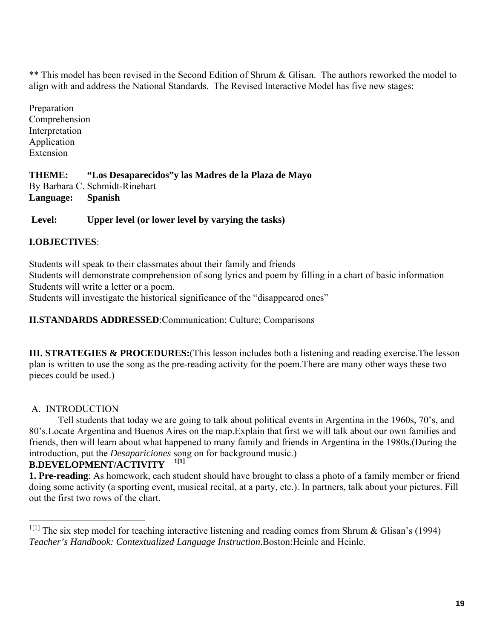\*\* This model has been revised in the Second Edition of Shrum & Glisan. The authors reworked the model to align with and address the National Standards. The Revised Interactive Model has five new stages:

 Interpretation Application Preparation Comprehension Extension

**THEME: "Los Desaparecidos"y las Madres de la Plaza de Mayo**  By Barbara C. Schmidt-Rinehart **Language: Spanish** 

# **Level: Upper level (or lower level by varying the tasks) I.OBJECTIVES**:

Students will speak to their classmates about their family and friends Students will demonstrate comprehension of song lyrics and poem by filling in a chart of basic information Students will write a letter or a poem.

Students will investigate the historical significance of the "disappeared ones"

#### **II.STANDARDS ADDRESSED**:Communication; Culture; Comparisons

**III. STRATEGIES & PROCEDURES:**(This lesson includes both a listening and reading exercise.The lesson plan is written to use the song as the pre-reading activity for the poem.There are many other ways these two pieces could be used.)

#### A. INTRODUCTION

 $1[1]$ Tell students that today we are going to talk about political events in Argentina in the 1960s, 70's, and 80's.Locate Argentina and Buenos Aires on the map.Explain that first we will talk about our own families and friends, then will learn about what happened to many family and friends in Argentina in the 1980s.(During the introduction, put the *Desapariciones* song on for background music.)

#### **B.DEVELOPMENT/ACTIVITY 1[1]**

**1. Pre-reading**: As homework, each student should have brought to class a photo of a family member or friend doing some activity (a sporting event, musical recital, at a party, etc.). In partners, talk about your pictures. Fill out the first two rows of the chart.

<sup>&</sup>lt;sup>1[1]</sup> The six step model for teaching interactive listening and reading comes from Shrum & Glisan's (1994) *Teacher's Handbook: Contextualized Language Instruction*.Boston:Heinle and Heinle.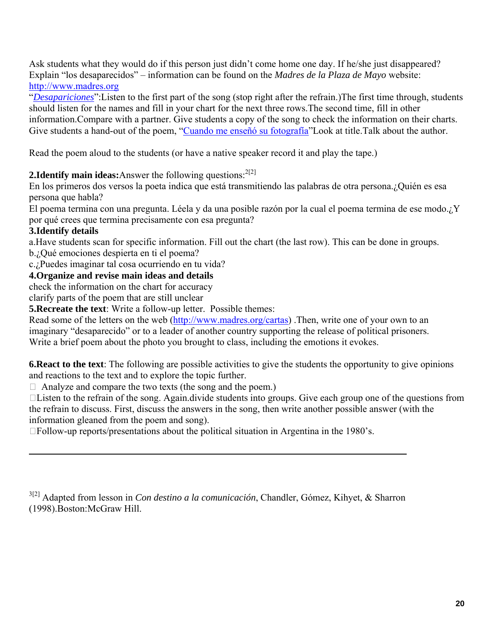http://www.madres.org Ask students what they would do if this person just didn't come home one day. If he/she just disappeared? Explain "los desaparecidos" – information can be found on the *Madres de la Plaza de Mayo* website:

"*Desapariciones*":Listen to the first part of the song (stop right after the refrain.)The first time through, students should listen for the names and fill in your chart for the next three rows.The second time, fill in other information.Compare with a partner. Give students a copy of the song to check the information on their charts. Give students a hand-out of the poem, "Cuando me enseñó su fotografía"Look at title.Talk about the author.

Read the poem aloud to the students (or have a native speaker record it and play the tape.)

#### **2.Identify main ideas:** Answer the following questions:  $2^{2[2]}$

 persona que habla? En los primeros dos versos la poeta indica que está transmitiendo las palabras de otra persona.¿Quién es esa

El poema termina con una pregunta. Léela y da una posible razón por la cual el poema termina de ese modo.¿Y por qué crees que termina precisamente con esa pregunta?

#### **3.Identify details**

a.Have students scan for specific information. Fill out the chart (the last row). This can be done in groups.

b.¿Qué emociones despierta en ti el poema?

c.¿Puedes imaginar tal cosa ocurriendo en tu vida?

#### **4.Organize and revise main ideas and details**

check the information on the chart for accuracy

clarify parts of the poem that are still unclear

**5.Recreate the text**: Write a follow-up letter. Possible themes:

Read some of the letters on the web (http://www.madres.org/cartas) .Then, write one of your own to an imaginary "desaparecido" or to a leader of another country supporting the release of political prisoners. Write a brief poem about the photo you brought to class, including the emotions it evokes.

**6.React to the text**: The following are possible activities to give the students the opportunity to give opinions and reactions to the text and to explore the topic further.

 $\Box$  Analyze and compare the two texts (the song and the poem.)

 $\Box$ Listen to the refrain of the song. Again.divide students into groups. Give each group one of the questions from the refrain to discuss. First, discuss the answers in the song, then write another possible answer (with the information gleaned from the poem and song).

 $\square$  Follow-up reports/presentations about the political situation in Argentina in the 1980's.

3[2] Adapted from lesson in *Con destino a la comunicación*, Chandler, Gómez, Kihyet, & Sharron (1998).Boston:McGraw Hill.

<u> 1989 - Jan Samuel Barbara, martxa a shekara tsa 1989 - An tsa 1989 - An tsa 1989 - An tsa 1989 - An tsa 198</u>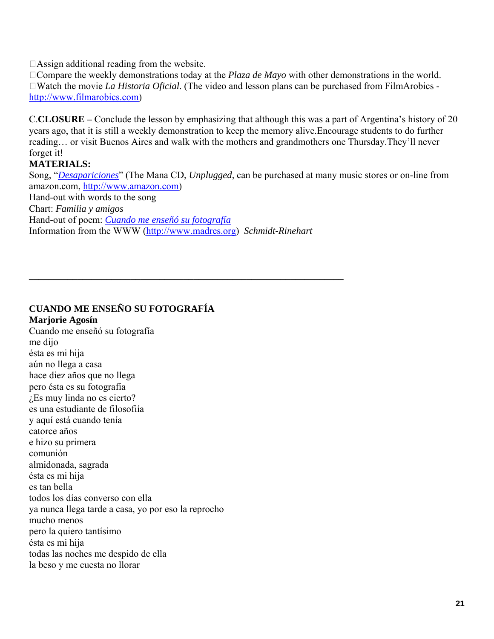$\Box$ Assign additional reading from the website.

□Compare the weekly demonstrations today at the *Plaza de Mayo* with other demonstrations in the world. □Watch the movie *La Historia Oficial*. (The video and lesson plans can be purchased from FilmArobics http://www.filmarobics.com)

C.**CLOSURE –** Conclude the lesson by emphasizing that although this was a part of Argentina's history of 20 years ago, that it is still a weekly demonstration to keep the memory alive.Encourage students to do further reading… or visit Buenos Aires and walk with the mothers and grandmothers one Thursday.They'll never forget it!

#### **MATERIALS:**

 Chart: *Familia y amigos*  Hand-out of poem: *Cuando me enseñó su fotografía* Song, "*Desapariciones*" (The Mana CD, *Unplugged*, can be purchased at many music stores or on-line from amazon.com, http://www.amazon.com) Hand-out with words to the song Information from the WWW (http://www.madres.org) *Schmidt-Rinehart* 

**\_\_\_\_\_\_\_\_\_\_\_\_\_\_\_\_\_\_\_\_\_\_\_\_\_\_\_\_\_\_\_\_\_\_\_\_\_\_\_\_\_\_\_\_\_\_\_\_\_\_\_\_\_\_\_\_\_\_\_\_\_\_\_\_\_** 

# **CUANDO ME ENSEÑO SU FOTOGRAFÍA Marjorie Agosín**

 ¿Es muy linda no es cierto? catorce años Cuando me enseñó su fotografía me dijo ésta es mi hija aún no llega a casa hace diez años que no llega pero ésta es su fotografía es una estudiante de filosofiía y aquí está cuando tenía e hizo su primera comunión almidonada, sagrada ésta es mi hija es tan bella todos los días converso con ella ya nunca llega tarde a casa, yo por eso la reprocho mucho menos pero la quiero tantísimo ésta es mi hija todas las noches me despido de ella la beso y me cuesta no llorar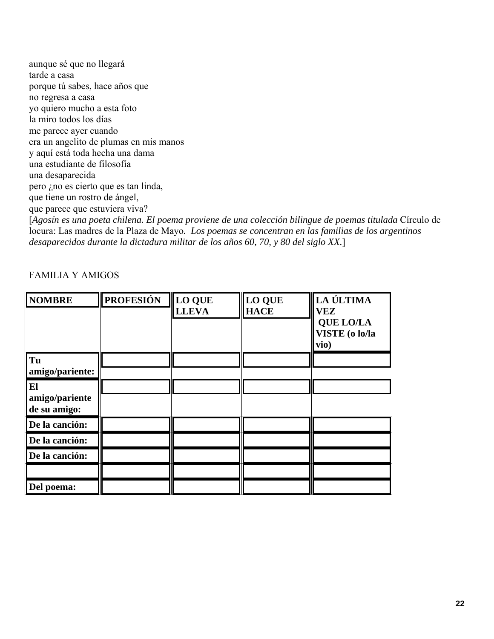y aquí está toda hecha una dama<br>una estudiante de filosofía aunque sé que no llegará tarde a casa porque tú sabes, hace años que no regresa a casa yo quiero mucho a esta foto la miro todos los días me parece ayer cuando era un angelito de plumas en mis manos una desaparecida pero ¿no es cierto que es tan linda, que tiene un rostro de ángel, que parece que estuviera viva?

[*Agosín es una poeta chilena. El poema proviene de una colección bilingue de poemas titulada* Círculo de locura: Las madres de la Plaza de Mayo*. Los poemas se concentran en las familias de los argentinos desaparecidos durante la dictadura militar de los años 60, 70, y 80 del siglo XX.*]

FAMILIA Y AMIGOS

| <b>NOMBRE</b>                        | <b>PROFESIÓN</b> | LO QUE<br><b>LLEVA</b> | <b>LO QUE</b><br><b>HACE</b> | LA ÚLTIMA<br><b>VEZ</b><br><b>QUE LO/LA</b><br>VISTE (o lo/la<br>vio) |
|--------------------------------------|------------------|------------------------|------------------------------|-----------------------------------------------------------------------|
| Tu<br>amigo/pariente:                |                  |                        |                              |                                                                       |
| El<br>amigo/pariente<br>de su amigo: |                  |                        |                              |                                                                       |
| De la canción:                       |                  |                        |                              |                                                                       |
| De la canción:                       |                  |                        |                              |                                                                       |
| De la canción:                       |                  |                        |                              |                                                                       |
|                                      |                  |                        |                              |                                                                       |
| Del poema:                           |                  |                        |                              |                                                                       |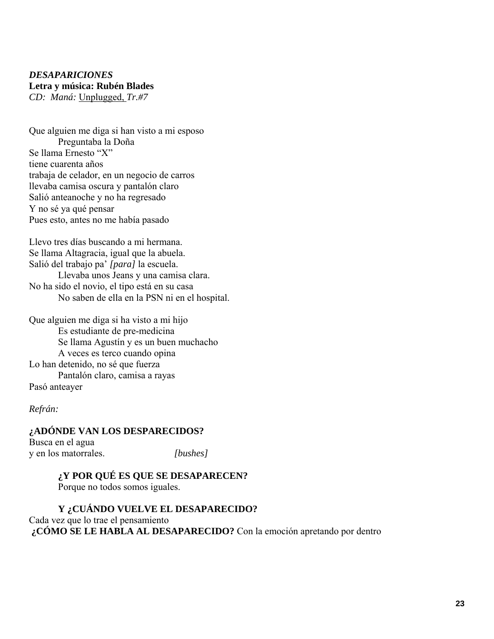#### *DESAPARICIONES*  **Letra y música: Rubén Blades**  *CD: Maná:* Unplugged, *Tr.#7*

Que alguien me diga si han visto a mi esposo Preguntaba la Doña Se llama Ernesto "X" tiene cuarenta años trabaja de celador, en un negocio de carros llevaba camisa oscura y pantalón claro Salió anteanoche y no ha regresado Y no sé ya qué pensar Pues esto, antes no me había pasado

Llevo tres días buscando a mi hermana. Se llama Altagracia, igual que la abuela. Salió del trabajo pa' *[para]* la escuela. Llevaba unos Jeans y una camisa clara. No ha sido el novio, el tipo está en su casa No saben de ella en la PSN ni en el hospital.

Que alguien me diga si ha visto a mi hijo Es estudiante de pre-medicina Se llama Agustín y es un buen muchacho A veces es terco cuando opina Lo han detenido, no sé que fuerza Pantalón claro, camisa a rayas Pasó anteayer

#### *Refrán:*

 y en los matorrales. *[bushes]* **¿ADÓNDE VAN LOS DESPARECIDOS?**  Busca en el agua

#### **¿Y POR QUÉ ES QUE SE DESAPARECEN?**  Porque no todos somos iguales.

**Y ¿CUÁNDO VUELVE EL DESAPARECIDO?**  Cada vez que lo trae el pensamiento **¿CÓMO SE LE HABLA AL DESAPARECIDO?** Con la emoción apretando por dentro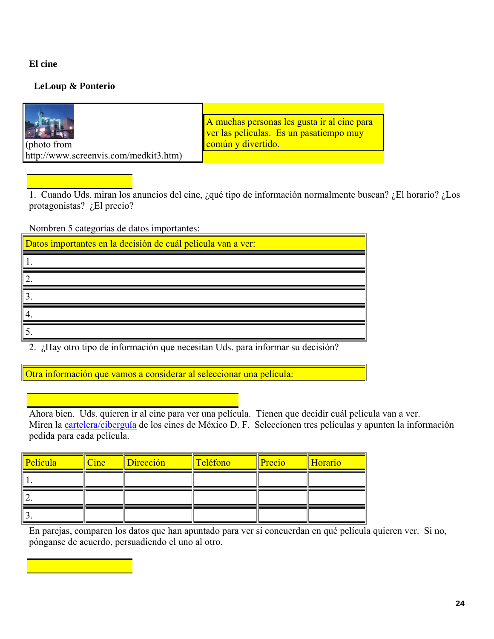#### **El cine**

#### **LeLoup & Ponterio**

|                                       | A muchas personas les gusta ir al cine para<br>ver las películas. Es un pasatiempo muy |
|---------------------------------------|----------------------------------------------------------------------------------------|
| (photo from                           | común y divertido.                                                                     |
| http://www.screenvis.com/medkit3.htm) |                                                                                        |

1. Cuando Uds. miran los anuncios del cine, ¿qué tipo de información normalmente buscan? ¿El horario? ¿Los protagonistas? ¿El precio?

Nombren 5 categorías de datos importantes:

| Datos importantes en la decisión de cuál película van a ver: |                                                 |                                        |
|--------------------------------------------------------------|-------------------------------------------------|----------------------------------------|
|                                                              |                                                 |                                        |
|                                                              |                                                 |                                        |
|                                                              |                                                 |                                        |
|                                                              |                                                 |                                        |
|                                                              |                                                 |                                        |
| $\ddot{\phantom{0}}$                                         | $\cdot$ $\sim$<br>$\mathbf{r}$ and $\mathbf{r}$ | $\cdot$ $\cdot$ $\sim$<br>$\mathbf{1}$ |

2. ¿Hay otro tipo de información que necesitan Uds. para informar su decisión?

Otra información que vamos a considerar al seleccionar una película:

Ahora bien. Uds. quieren ir al cine para ver una película. Tienen que decidir cuál película van a ver. Miren la cartelera/ciberguía de los cines de México D. F. Seleccionen tres películas y apunten la información pedida para cada película.

| Película | Cine | Dirección | Teléfono | Precio | Horario |
|----------|------|-----------|----------|--------|---------|
|          |      |           |          |        |         |
| ∼        |      |           |          |        |         |
|          |      |           |          |        |         |

En parejas, comparen los datos que han apuntado para ver si concuerdan en qué película quieren ver. Si no, pónganse de acuerdo, persuadiendo el uno al otro.

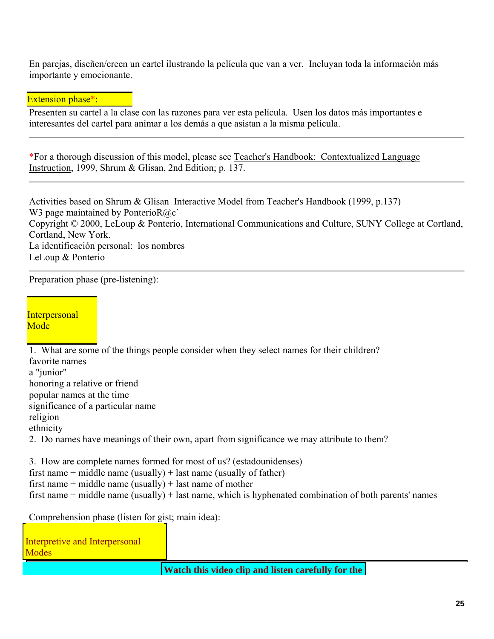En parejas, diseñen/creen un cartel ilustrando la película que van a ver. Incluyan toda la información más importante y emocionante.

Extension phase\*:

Presenten su cartel a la clase con las razones para ver esta película. Usen los datos más importantes e interesantes del cartel para animar a los demás a que asistan a la misma película.

\*For a thorough discussion of this model, please see Teacher's Handbook: Contextualized Language Instruction, 1999, Shrum & Glisan, 2nd Edition; p. 137.

Activities based on Shrum & Glisan Interactive Model from Teacher's Handbook (1999, p.137) W3 page maintained by PonterioR $@c$ Copyright © 2000, LeLoup & Ponterio, International Communications and Culture, SUNY College at Cortland, Cortland, New York. La identificación personal: los nombres LeLoup & Ponterio

Preparation phase (pre-listening):

**Interpersonal Mode** 

 significance of a particular name 2. Do names have meanings of their own, apart from significance we may attribute to them? 1. What are some of the things people consider when they select names for their children? favorite names a "junior" honoring a relative or friend popular names at the time religion ethnicity 3. How are complete names formed for most of us? (estadounidenses) first name + middle name (usually) + last name (usually of father)

first name + middle name  $(usually) + last name of mother$ 

first name + middle name (usually) + last name, which is hyphenated combination of both parents' names

Comprehension phase (listen for gist; main idea):

Interpretive and Interpersonal **Modes** 

**Watch this video clip and listen carefully for the**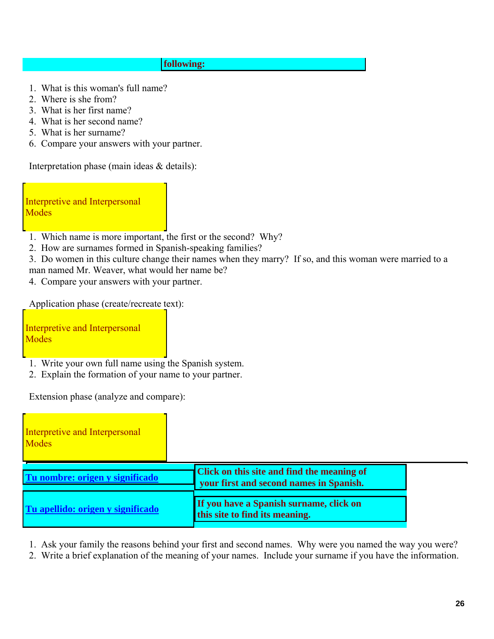#### **following:**

- 1. What is this woman's full name? 2. Where is she from?
- 
- 3. What is her first name?
- 3. What is her first name? 4. What is her second name? 5. What is her surname?
- 
- 6. Compare your answers with your partner.

Interpretation phase (main ideas & details):

**Modes** Interpretive and Interpersonal

- Modes<br>1. Which name is more important, the first or the second? Why?
- 2. How are surnames formed in Spanish-speaking families?

man named Mr. Weaver, what would her name be? 3. Do women in this culture change their names when they marry? If so, and this woman were married to a

4. Compare your answers with your partner.

Application phase (create/recreate text):

**Modes** Interpretive and Interpersonal

- 1. Write your own full name using the Spanish system.
- 2. Explain the formation of your name to your partner.

Extension phase (analyze and compare):

| Interpretive and Interpersonal<br>Modes |                                                                                              |  |
|-----------------------------------------|----------------------------------------------------------------------------------------------|--|
| Tu nombre: origen y significado         | <b>Click on this site and find the meaning of</b><br>your first and second names in Spanish. |  |
| Tu apellido: origen y significado       | If you have a Spanish surname, click on<br>this site to find its meaning.                    |  |

1. Ask your family the reasons behind your first and second names. Why were you named the way you were?

2. Write a brief explanation of the meaning of your names. Include your surname if you have the information.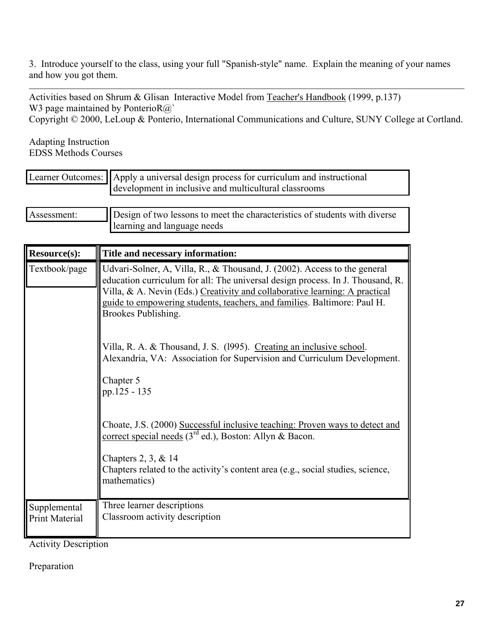3. Introduce yourself to the class, using your full "Spanish-style" name. Explain the meaning of your names and how you got them.

Activities based on Shrum & Glisan Interactive Model from Teacher's Handbook (1999, p.137) W3 page maintained by PonterioR@`

Copyright © 2000, LeLoup & Ponterio, International Communications and Culture, SUNY College at Cortland.

Adapting Instruction EDSS Methods Courses

|             | Learner Outcomes:    Apply a universal design process for curriculum and instructional<br>development in inclusive and multicultural classrooms |
|-------------|-------------------------------------------------------------------------------------------------------------------------------------------------|
|             |                                                                                                                                                 |
| Assessment: | Design of two lessons to meet the characteristics of students with diverse                                                                      |
|             | learning and language needs                                                                                                                     |

| <b>Resource(s):</b>                   | Title and necessary information:                                                                                                                                                                                                                                                                                                              |  |  |  |
|---------------------------------------|-----------------------------------------------------------------------------------------------------------------------------------------------------------------------------------------------------------------------------------------------------------------------------------------------------------------------------------------------|--|--|--|
| Textbook/page                         | Udvari-Solner, A, Villa, R., & Thousand, J. (2002). Access to the general<br>education curriculum for all: The universal design process. In J. Thousand, R.<br>Villa, & A. Nevin (Eds.) Creativity and collaborative learning: A practical<br>guide to empowering students, teachers, and families. Baltimore: Paul H.<br>Brookes Publishing. |  |  |  |
|                                       | Villa, R. A. & Thousand, J. S. (1995). Creating an inclusive school.<br>Alexandria, VA: Association for Supervision and Curriculum Development.<br>Chapter 5<br>pp.125 - 135                                                                                                                                                                  |  |  |  |
|                                       | Choate, J.S. (2000) Successful inclusive teaching: Proven ways to detect and<br>correct special needs $(3^{rd}$ ed.), Boston: Allyn & Bacon.<br>Chapters 2, 3, & 14<br>Chapters related to the activity's content area (e.g., social studies, science,<br>mathematics)                                                                        |  |  |  |
| Supplemental<br><b>Print Material</b> | Three learner descriptions<br>Classroom activity description                                                                                                                                                                                                                                                                                  |  |  |  |

Activity Description

Preparation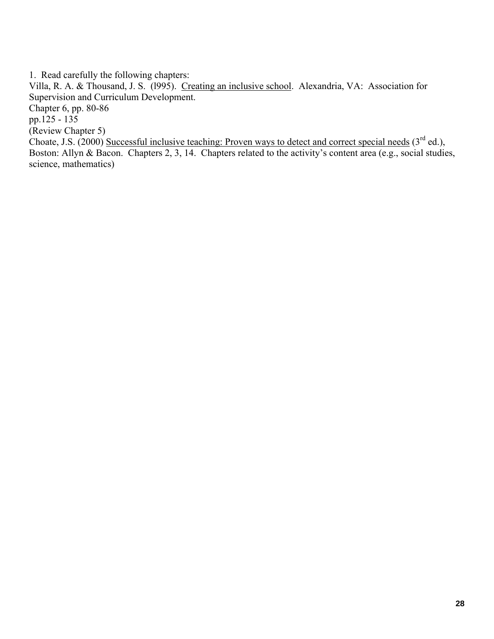1. Read carefully the following chapters:

Villa, R. A. & Thousand, J. S. (l995). Creating an inclusive school. Alexandria, VA: Association for Supervision and Curriculum Development. Chapter 6, pp. 80-86 pp.125 - 135 (Review Chapter 5) Choate, J.S. (2000) Successful inclusive teaching: Proven ways to detect and correct special needs ( $3^{rd}$  ed.), Boston: Allyn & Bacon. Chapters 2, 3, 14. Chapters related to the activity's content area (e.g., social studies, science, mathematics)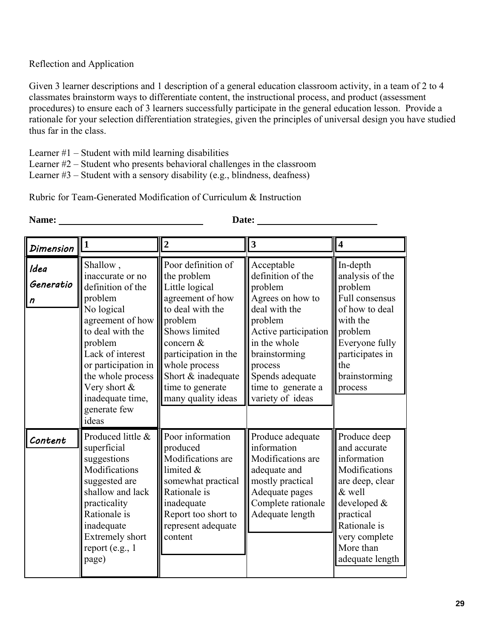#### Reflection and Application

Given 3 learner descriptions and 1 description of a general education classroom activity, in a team of 2 to 4 classmates brainstorm ways to differentiate content, the instructional process, and product (assessment procedures) to ensure each of 3 learners successfully participate in the general education lesson. Provide a rationale for your selection differentiation strategies, given the principles of universal design you have studied thus far in the class.

Learner  $#1$  – Student with mild learning disabilities

Learner #2 – Student who presents behavioral challenges in the classroom

Learner  $#3$  – Student with a sensory disability (e.g., blindness, deafness)

Rubric for Team-Generated Modification of Curriculum & Instruction

| <b>Dimension</b>       | 1                                                                                                                                                                                                                                    | $\boldsymbol{2}$                                                                                                                                                                                                                              | $\vert 3 \vert$                                                                                                                                                                                                             | $\overline{\mathbf{4}}$                                                                                                                                                                |  |
|------------------------|--------------------------------------------------------------------------------------------------------------------------------------------------------------------------------------------------------------------------------------|-----------------------------------------------------------------------------------------------------------------------------------------------------------------------------------------------------------------------------------------------|-----------------------------------------------------------------------------------------------------------------------------------------------------------------------------------------------------------------------------|----------------------------------------------------------------------------------------------------------------------------------------------------------------------------------------|--|
| Idea<br>Generatio<br>n | Shallow,<br>inaccurate or no<br>definition of the<br>problem<br>No logical<br>agreement of how<br>to deal with the<br>problem<br>Lack of interest<br>or participation in<br>the whole process<br>Very short $\&$<br>inadequate time, | Poor definition of<br>the problem<br>Little logical<br>agreement of how<br>to deal with the<br>problem<br>Shows limited<br>concern &<br>participation in the<br>whole process<br>Short & inadequate<br>time to generate<br>many quality ideas | Acceptable<br>definition of the<br>problem<br>Agrees on how to<br>deal with the<br>problem<br>Active participation<br>in the whole<br>brainstorming<br>process<br>Spends adequate<br>time to generate a<br>variety of ideas | In-depth<br>analysis of the<br>problem<br>Full consensus<br>of how to deal<br>with the<br>problem<br>Everyone fully<br>participates in<br>the<br>brainstorming<br>process              |  |
| Content                | generate few<br>ideas<br>Produced little &<br>superficial<br>suggestions<br>Modifications<br>suggested are<br>shallow and lack<br>practicality<br>Rationale is<br>inadequate<br><b>Extremely short</b><br>report (e.g., 1<br>page)   | Poor information<br>produced<br>Modifications are<br>limited &<br>somewhat practical<br>Rationale is<br>inadequate<br>Report too short to<br>represent adequate<br>content                                                                    | Produce adequate<br>information<br>Modifications are<br>adequate and<br>mostly practical<br>Adequate pages<br>Complete rationale<br>Adequate length                                                                         | Produce deep<br>and accurate<br>information<br>Modifications<br>are deep, clear<br>& well<br>developed &<br>practical<br>Rationale is<br>very complete<br>More than<br>adequate length |  |

**Name:** Date: Date: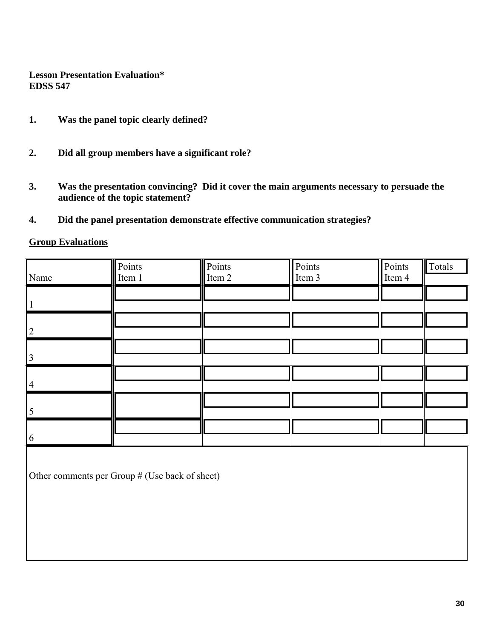#### **Lesson Presentation Evaluation\* EDSS 547**

- **1. Was the panel topic clearly defined?**
- **2. Did all group members have a significant role?**
- **3. Was the presentation convincing? Did it cover the main arguments necessary to persuade the audience of the topic statement?**
- **4. Did the panel presentation demonstrate effective communication strategies?**

#### **Group Evaluations**

| Name | Points<br>Item 1 | Points<br>Item 2 | Points<br>Item $3$ | Points<br>Item 4 | Шτ<br>Totals |
|------|------------------|------------------|--------------------|------------------|--------------|
|      |                  |                  |                    |                  |              |
|      |                  |                  |                    |                  |              |
|      |                  |                  |                    |                  |              |
|      |                  |                  |                    |                  |              |
|      |                  |                  |                    |                  |              |
|      |                  |                  |                    |                  |              |
|      |                  |                  |                    |                  |              |
|      |                  |                  |                    |                  |              |
|      |                  |                  |                    |                  |              |
|      |                  |                  |                    |                  |              |
|      |                  |                  |                    |                  |              |
| 6    |                  |                  |                    |                  |              |

Other comments per Group # (Use back of sheet)